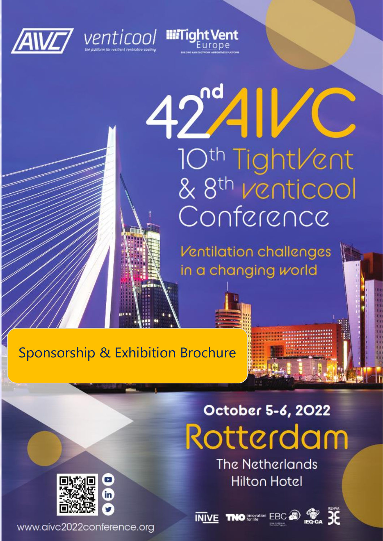



# $42^{\circ}4$ 10<sup>th</sup> TightVent<br>& 8<sup>th</sup> Venticool Conference

**IIITight Vent** 

Ventilation challenges in a changing world

# Sponsorship & Exhibition Brochure

# October 5-6, 2022 Rotterdam

**The Netherlands Hilton Hotel** 



in

www.aivc2022conference.org

**INIVE THO EDGE A EDGE 36** 



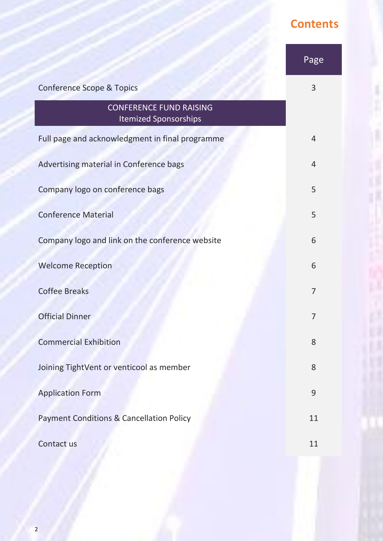# **Contents**

 $\frac{1}{2}$ 

|                                                                | Page           |
|----------------------------------------------------------------|----------------|
| <b>Conference Scope &amp; Topics</b>                           | 3              |
| <b>CONFERENCE FUND RAISING</b><br><b>Itemized Sponsorships</b> |                |
| Full page and acknowledgment in final programme                | $\overline{4}$ |
| Advertising material in Conference bags                        | $\overline{4}$ |
| Company logo on conference bags                                | 5              |
| <b>Conference Material</b>                                     | 5              |
| Company logo and link on the conference website                | 6              |
| <b>Welcome Reception</b>                                       | 6              |
| <b>Coffee Breaks</b>                                           | $\overline{7}$ |
| <b>Official Dinner</b>                                         | 7              |
| <b>Commercial Exhibition</b>                                   | 8              |
| Joining TightVent or venticool as member                       | 8              |
| <b>Application Form</b>                                        | 9              |
| <b>Payment Conditions &amp; Cancellation Policy</b>            | 11             |
| Contact us                                                     | 11             |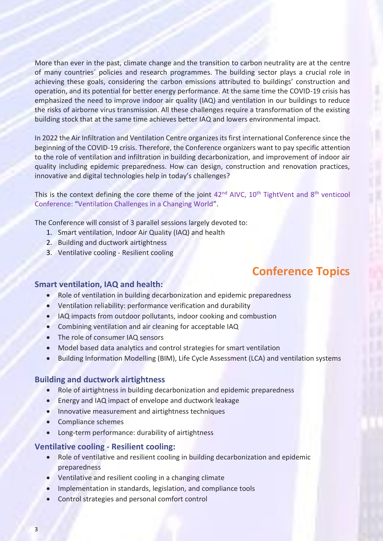More than ever in the past, climate change and the transition to carbon neutrality are at the centre of many countries´ policies and research programmes. The building sector plays a crucial role in achieving these goals, considering the carbon emissions attributed to buildings' construction and operation, and its potential for better energy performance. At the same time the COVID-19 crisis has emphasized the need to improve indoor air quality (IAQ) and ventilation in our buildings to reduce the risks of airborne virus transmission. All these challenges require a transformation of the existing building stock that at the same time achieves better IAQ and lowers environmental impact.

In 2022 the Air Infiltration and Ventilation Centre organizes its first international Conference since the beginning of the COVID-19 crisis. Therefore, the Conference organizers want to pay specific attention to the role of ventilation and infiltration in building decarbonization, and improvement of indoor air quality including epidemic preparedness. How can design, construction and renovation practices, innovative and digital technologies help in today's challenges?

This is the context defining the core theme of the joint  $42^{nd}$  AIVC,  $10^{th}$  TightVent and  $8^{th}$  venticool Conference: "Ventilation Challenges in a Changing World".

The Conference will consist of 3 parallel sessions largely devoted to:

- 1. Smart ventilation, Indoor Air Quality (IAQ) and health
- 2. Building and ductwork airtightness
- 3. Ventilative cooling Resilient cooling

### **Conference Topics**

#### **Smart ventilation, IAQ and health:**

- Role of ventilation in building decarbonization and epidemic preparedness
- Ventilation reliability: performance verification and durability
- IAQ impacts from outdoor pollutants, indoor cooking and combustion
- Combining ventilation and air cleaning for acceptable IAQ
- The role of consumer IAQ sensors
- Model based data analytics and control strategies for smart ventilation
- Building Information Modelling (BIM), Life Cycle Assessment (LCA) and ventilation systems

#### **Building and ductwork airtightness**

- Role of airtightness in building decarbonization and epidemic preparedness
- Energy and IAQ impact of envelope and ductwork leakage
- Innovative measurement and airtightness techniques
- Compliance schemes
- Long-term performance: durability of airtightness

#### **Ventilative cooling - Resilient cooling:**

- Role of ventilative and resilient cooling in building decarbonization and epidemic preparedness
- Ventilative and resilient cooling in a changing climate
- Implementation in standards, legislation, and compliance tools
- Control strategies and personal comfort control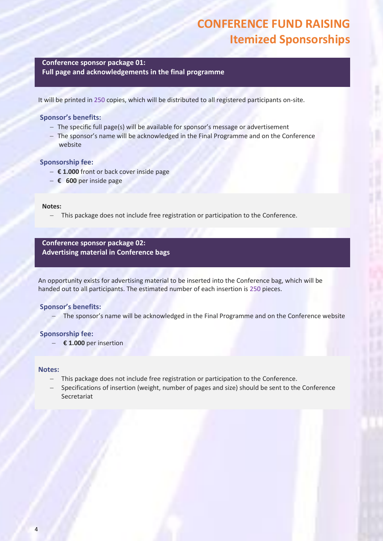## **CONFERENCE FUND RAISING Itemized Sponsorships**

#### **Conference sponsor package 01: Full page and acknowledgements in the final programme**

It will be printed in 250 copies, which will be distributed to all registered participants on-site.

#### **Sponsor's benefits:**

- − The specific full page(s) will be available for sponsor's message or advertisement
- − The sponsor's name will be acknowledged in the Final Programme and on the Conference website

#### **Sponsorship fee:**

- − **€ 1.000** front or back cover inside page
- − **€ 600** per inside page

#### **Notes:**

− This package does not include free registration or participation to the Conference.

#### **Conference sponsor package 02: Advertising material in Conference bags**

An opportunity exists for advertising material to be inserted into the Conference bag, which will be handed out to all participants. The estimated number of each insertion is 250 pieces.

#### **Sponsor's benefits:**

The sponsor's name will be acknowledged in the Final Programme and on the Conference website

#### **Sponsorship fee:**

− **€ 1.000** per insertion

#### **Notes:**

- This package does not include free registration or participation to the Conference.
- Specifications of insertion (weight, number of pages and size) should be sent to the Conference Secretariat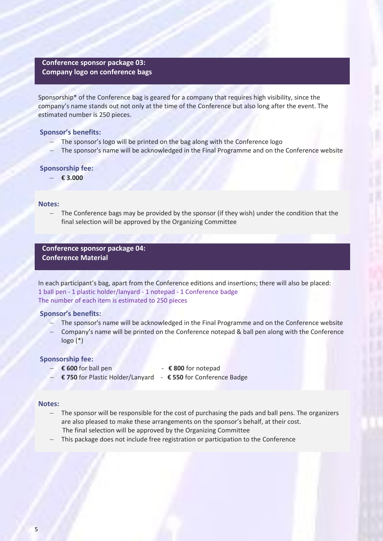#### **Conference sponsor package 03: Company logo on conference bags**

Sponsorship\* of the Conference bag is geared for a company that requires high visibility, since the company's name stands out not only at the time of the Conference but also long after the event. The estimated number is 250 pieces.

#### **Sponsor's benefits:**

- The sponsor's logo will be printed on the bag along with the Conference logo
- The sponsor's name will be acknowledged in the Final Programme and on the Conference website

#### **Sponsorship fee:**

− **€ 3.000** 

#### **Notes:**

The Conference bags may be provided by the sponsor (if they wish) under the condition that the final selection will be approved by the Organizing Committee

**Conference sponsor package 04: Conference Material**

In each participant's bag, apart from the Conference editions and insertions; there will also be placed: 1 ball pen - 1 plastic holder/lanyard - 1 notepad - 1 Conference badge The number of each item is estimated to 250 pieces

#### **Sponsor's benefits:**

- The sponsor's name will be acknowledged in the Final Programme and on the Conference website
- Company's name will be printed on the Conference notepad & ball pen along with the Conference logo (\*)

#### **Sponsorship fee:**

- 
- − **€ 600** for ball pen **€ 800** for notepad
- 
- − **€ 750** for Plastic Holder/Lanyard **€ 550** for Conference Badge

#### **Notes:**

- − The sponsor will be responsible for the cost of purchasing the pads and ball pens. The organizers are also pleased to make these arrangements on the sponsor's behalf, at their cost. The final selection will be approved by the Organizing Committee
- This package does not include free registration or participation to the Conference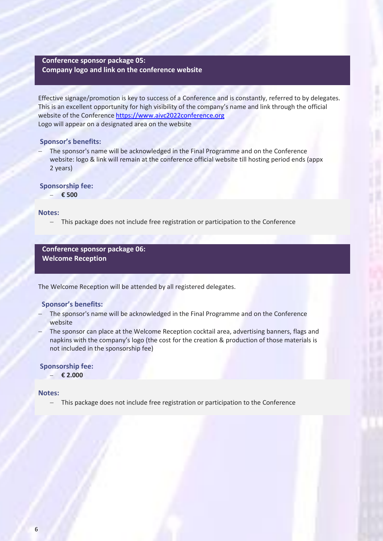#### **Conference sponsor package 05: Company logo and link on the conference website**

Effective signage/promotion is key to success of a Conference and is constantly, referred to by delegates. This is an excellent opportunity for high visibility of the company's name and link through the official website of the Conference [https://www.aivc2022conference.org](https://www.aivc2022conference.org/)  Logo will appear on a designated area on the website

#### **Sponsor's benefits:**

The sponsor's name will be acknowledged in the Final Programme and on the Conference website: logo & link will remain at the conference official website till hosting period ends (appx 2 years)

#### **Sponsorship fee:**

− **€ 500** 

#### **Notes:**

− This package does not include free registration or participation to the Conference

#### **Conference sponsor package 06: Welcome Reception**

The Welcome Reception will be attended by all registered delegates.

#### **Sponsor's benefits:**

- The sponsor's name will be acknowledged in the Final Programme and on the Conference website
- The sponsor can place at the Welcome Reception cocktail area, advertising banners, flags and napkins with the company's logo (the cost for the creation & production of those materials is not included in the sponsorship fee)

#### **Sponsorship fee:**

− **€ 2.000** 

#### **Notes:**

− This package does not include free registration or participation to the Conference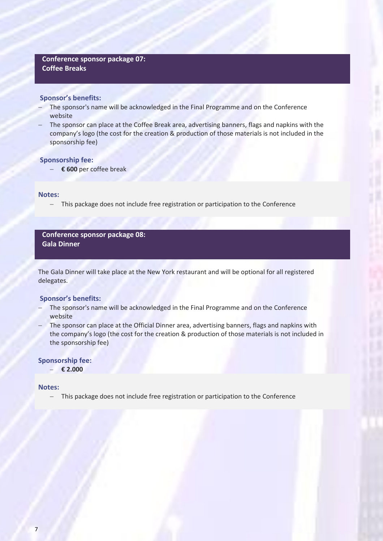#### **Conference sponsor package 07: Coffee Breaks**

#### **Sponsor's benefits:**

- The sponsor's name will be acknowledged in the Final Programme and on the Conference website
- The sponsor can place at the Coffee Break area, advertising banners, flags and napkins with the company's logo (the cost for the creation & production of those materials is not included in the sponsorship fee)

#### **Sponsorship fee:**

− **€ 600** per coffee break

#### **Notes:**

− This package does not include free registration or participation to the Conference

**Conference sponsor package 08: Gala Dinner**

The Gala Dinner will take place at the New York restaurant and will be optional for all registered delegates.

#### **Sponsor's benefits:**

- The sponsor's name will be acknowledged in the Final Programme and on the Conference website
- − The sponsor can place at the Official Dinner area, advertising banners, flags and napkins with the company's logo (the cost for the creation & production of those materials is not included in the sponsorship fee)

#### **Sponsorship fee:**

− **€ 2.000**

#### **Notes:**

This package does not include free registration or participation to the Conference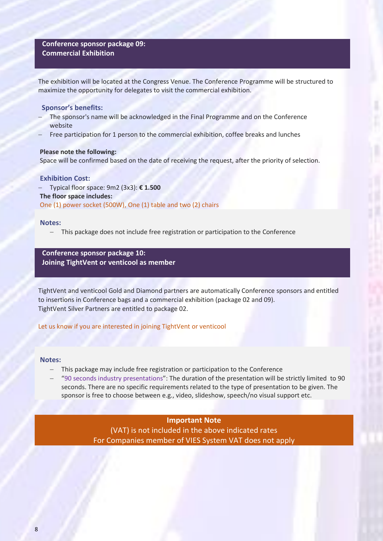#### **Conference sponsor package 09: Commercial Exhibition**

The exhibition will be located at the Congress Venue. The Conference Programme will be structured to maximize the opportunity for delegates to visit the commercial exhibition.

#### **Sponsor's benefits:**

- The sponsor's name will be acknowledged in the Final Programme and on the Conference website
- Free participation for 1 person to the commercial exhibition, coffee breaks and lunches

#### **Please note the following:**

Space will be confirmed based on the date of receiving the request, after the priority of selection.

#### **Exhibition Cost:**

− Typical floor space: 9m2 (3x3): **€ 1.500 The floor space includes:** One (1) power socket (500W), One (1) table and two (2) chairs

#### **Notes:**

This package does not include free registration or participation to the Conference

**Conference sponsor package 10: Joining TightVent or venticool as member**

TightVent and venticool Gold and Diamond partners are automatically Conference sponsors and entitled to insertions in Conference bags and a commercial exhibition (package 02 and 09). TightVent Silver Partners are entitled to package 02.

Let us know if you are interested in joining TightVent or venticool

#### **Notes:**

- − This package may include free registration or participation to the Conference
- − "90 seconds industry presentations": The duration of the presentation will be strictly limited to 90 seconds. There are no specific requirements related to the type of presentation to be given. The sponsor is free to choose between e.g., video, slideshow, speech/no visual support etc.

#### **Important Note**

(VAT) is not included in the above indicated rates For Companies member of VIES System VAT does not apply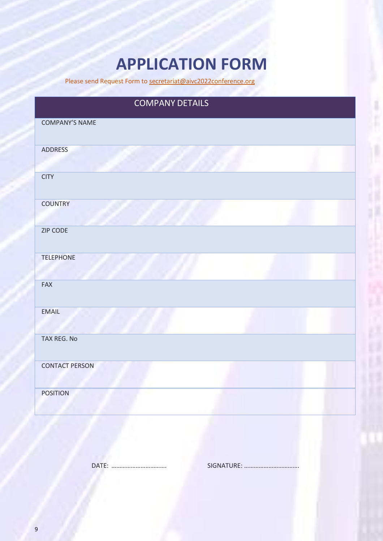# **APPLICATION FORM**

Please send Request Form to [secretariat@aivc2022conference.org](mailto:secretariat@aivc2022conference.org)

# COMPANY DETAILS COMPANY'S NAME ADDRESS **CITY COUNTRY** ZIP CODE TELEPHONE FAX EMAIL TAX REG. No CONTACT PERSON POSITION

DATE: ……………………………. SIGNATURE: …………………………….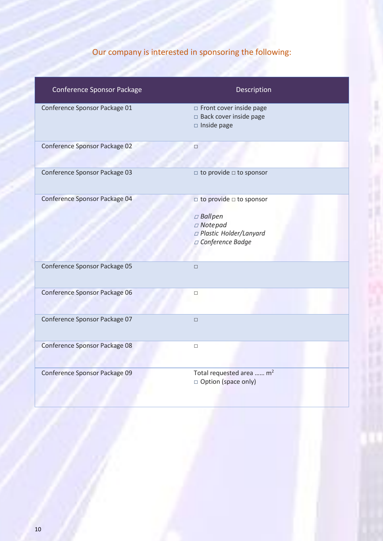# Our company is interested in sponsoring the following:

| Conference Sponsor Package    | Description                                                                                                                |
|-------------------------------|----------------------------------------------------------------------------------------------------------------------------|
| Conference Sponsor Package 01 | Front cover inside page<br>□ Back cover inside page<br>$\square$ Inside page                                               |
| Conference Sponsor Package 02 | $\Box$                                                                                                                     |
| Conference Sponsor Package 03 | $\Box$ to provide $\Box$ to sponsor                                                                                        |
| Conference Sponsor Package 04 | $\Box$ to provide $\Box$ to sponsor<br>$\Box$ Ball pen<br>$\Box$ Notepad<br>□ Plastic Holder/Lanyard<br>□ Conference Badge |
| Conference Sponsor Package 05 | $\Box$                                                                                                                     |
| Conference Sponsor Package 06 | $\Box$                                                                                                                     |
| Conference Sponsor Package 07 | $\Box$                                                                                                                     |
| Conference Sponsor Package 08 | $\Box$                                                                                                                     |
| Conference Sponsor Package 09 | Total requested area  m <sup>2</sup><br>□ Option (space only)                                                              |